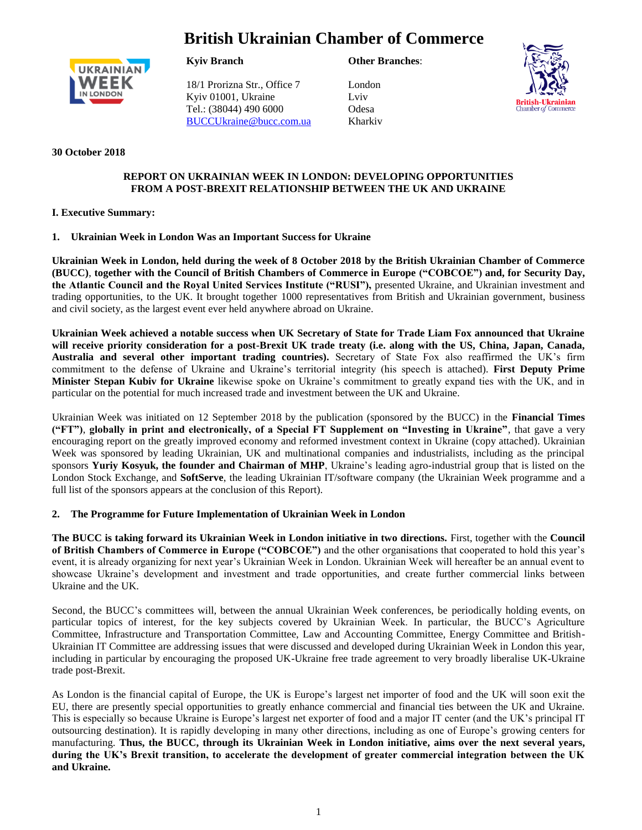# **British Ukrainian Chamber of Commerce**



**Kyiv Branch**

18/1 Prorizna Str., Office 7 Kyiv 01001, Ukraine Tel.: (38044) 490 6000 [BUCCUkraine@bucc.com.ua](mailto:BUCCUkraine@bucc.com.ua) **Other Branches**:

London Lviv Odesa Kharkiv



## **30 October 2018**

## **REPORT ON UKRAINIAN WEEK IN LONDON: DEVELOPING OPPORTUNITIES FROM A POST-BREXIT RELATIONSHIP BETWEEN THE UK AND UKRAINE**

# **I. Executive Summary:**

## **1. Ukrainian Week in London Was an Important Success for Ukraine**

**Ukrainian Week in London, held during the week of 8 October 2018 by the British Ukrainian Chamber of Commerce (BUCC)**, **together with the Council of British Chambers of Commerce in Europe ("COBCOE") and, for Security Day, the Atlantic Council and the Royal United Services Institute ("RUSI"),** presented Ukraine, and Ukrainian investment and trading opportunities, to the UK. It brought together 1000 representatives from British and Ukrainian government, business and civil society, as the largest event ever held anywhere abroad on Ukraine.

**Ukrainian Week achieved a notable success when UK Secretary of State for Trade Liam Fox announced that Ukraine will receive priority consideration for a post-Brexit UK trade treaty (i.e. along with the US, China, Japan, Canada, Australia and several other important trading countries).** Secretary of State Fox also reaffirmed the UK's firm commitment to the defense of Ukraine and Ukraine's territorial integrity (his speech is attached). **First Deputy Prime Minister Stepan Kubiv for Ukraine** likewise spoke on Ukraine's commitment to greatly expand ties with the UK, and in particular on the potential for much increased trade and investment between the UK and Ukraine.

Ukrainian Week was initiated on 12 September 2018 by the publication (sponsored by the BUCC) in the **Financial Times ("FT")**, **globally in print and electronically, of a Special FT Supplement on "Investing in Ukraine"**, that gave a very encouraging report on the greatly improved economy and reformed investment context in Ukraine (copy attached). Ukrainian Week was sponsored by leading Ukrainian, UK and multinational companies and industrialists, including as the principal sponsors **Yuriy Kosyuk, the founder and Chairman of MHP**, Ukraine's leading agro-industrial group that is listed on the London Stock Exchange, and **SoftServe**, the leading Ukrainian IT/software company (the Ukrainian Week programme and a full list of the sponsors appears at the conclusion of this Report).

#### **2. The Programme for Future Implementation of Ukrainian Week in London**

**The BUCC is taking forward its Ukrainian Week in London initiative in two directions.** First, together with the **Council of British Chambers of Commerce in Europe ("COBCOE")** and the other organisations that cooperated to hold this year's event, it is already organizing for next year's Ukrainian Week in London. Ukrainian Week will hereafter be an annual event to showcase Ukraine's development and investment and trade opportunities, and create further commercial links between Ukraine and the UK.

Second, the BUCC's committees will, between the annual Ukrainian Week conferences, be periodically holding events, on particular topics of interest, for the key subjects covered by Ukrainian Week. In particular, the BUCC's Agriculture Committee, Infrastructure and Transportation Committee, Law and Accounting Committee, Energy Committee and British-Ukrainian IT Committee are addressing issues that were discussed and developed during Ukrainian Week in London this year, including in particular by encouraging the proposed UK-Ukraine free trade agreement to very broadly liberalise UK-Ukraine trade post-Brexit.

As London is the financial capital of Europe, the UK is Europe's largest net importer of food and the UK will soon exit the EU, there are presently special opportunities to greatly enhance commercial and financial ties between the UK and Ukraine. This is especially so because Ukraine is Europe's largest net exporter of food and a major IT center (and the UK's principal IT outsourcing destination). It is rapidly developing in many other directions, including as one of Europe's growing centers for manufacturing. **Thus, the BUCC, through its Ukrainian Week in London initiative, aims over the next several years, during the UK's Brexit transition, to accelerate the development of greater commercial integration between the UK and Ukraine.**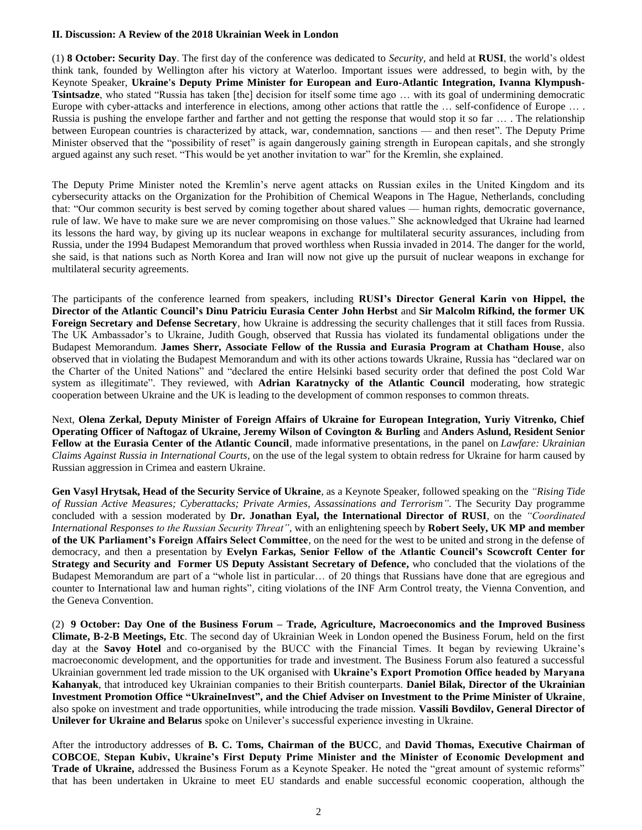#### **II. Discussion: A Review of the 2018 Ukrainian Week in London**

(1) **8 October: Security Day**. The first day of the conference was dedicated to *Security,* and held at **RUSI**, the world's oldest think tank, founded by Wellington after his victory at Waterloo. Important issues were addressed, to begin with, by the Keynote Speaker, **Ukraine's Deputy Prime Minister for European and Euro-Atlantic Integration, Ivanna Klympush-Tsintsadze**, who stated "Russia has taken [the] decision for itself some time ago … with its goal of undermining democratic Europe with cyber-attacks and interference in elections, among other actions that rattle the ... self-confidence of Europe ... . Russia is pushing the envelope farther and farther and not getting the response that would stop it so far … . The relationship between European countries is characterized by attack, war, condemnation, sanctions — and then reset". The Deputy Prime Minister observed that the "possibility of reset" is again dangerously gaining strength in European capitals, and she strongly argued against any such reset. "This would be yet another invitation to war" for the Kremlin, she explained.

The Deputy Prime Minister noted the Kremlin's nerve agent attacks on Russian exiles in the United Kingdom and its cybersecurity attacks on the Organization for the Prohibition of Chemical Weapons in The Hague, Netherlands, concluding that: "Our common security is best served by coming together about shared values — human rights, democratic governance, rule of law. We have to make sure we are never compromising on those values." She acknowledged that Ukraine had learned its lessons the hard way, by giving up its nuclear weapons in exchange for multilateral security assurances, including from Russia, under the 1994 Budapest Memorandum that proved worthless when Russia invaded in 2014. The danger for the world, she said, is that nations such as North Korea and Iran will now not give up the pursuit of nuclear weapons in exchange for multilateral security agreements.

The participants of the conference learned from speakers, including **RUSI's Director General Karin von Hippel, the Director of the Atlantic Council's Dinu Patriciu Eurasia Center John Herbst** and **Sir Malcolm Rifkind, the former UK Foreign Secretary and Defense Secretary**, how Ukraine is addressing the security challenges that it still faces from Russia. The UK Ambassador's to Ukraine, Judith Gough, observed that Russia has violated its fundamental obligations under the Budapest Memorandum. **James Sherr, Associate Fellow of the Russia and Eurasia Program at Chatham House**, also observed that in violating the Budapest Memorandum and with its other actions towards Ukraine, Russia has "declared war on the Charter of the United Nations" and "declared the entire Helsinki based security order that defined the post Cold War system as illegitimate". They reviewed, with **Adrian Karatnycky of the Atlantic Council** moderating, how strategic cooperation between Ukraine and the UK is leading to the development of common responses to common threats.

Next, **Olena Zerkal, Deputy Minister of Foreign Affairs of Ukraine for European Integration, Yuriy Vitrenko, Chief Operating Officer of Naftogaz of Ukraine, Jeremy Wilson of Covington & Burling** and **Anders Aslund, Resident Senior Fellow at the Eurasia Center of the Atlantic Council**, made informative presentations, in the panel on *Lawfare: Ukrainian Claims Against Russia in International Courts*, on the use of the legal system to obtain redress for Ukraine for harm caused by Russian aggression in Crimea and eastern Ukraine.

**Gen Vasyl Hrytsak, Head of the Security Service of Ukraine**, as a Keynote Speaker, followed speaking on the *"Rising Tide of Russian Active Measures; Cyberattacks; Private Armies, Assassinations and Terrorism"*. The Security Day programme concluded with a session moderated by **Dr. Jonathan Eyal, the International Director of RUSI**, on the *"Coordinated International Responses to the Russian Security Threat"*, with an enlightening speech by **Robert Seely, UK MP and member of the UK Parliament's Foreign Affairs Select Committee**, on the need for the west to be united and strong in the defense of democracy, and then a presentation by **Evelyn Farkas, Senior Fellow of the Atlantic Council's Scowcroft Center for Strategy and Security and Former US Deputy Assistant Secretary of Defence,** who concluded that the violations of the Budapest Memorandum are part of a "whole list in particular… of 20 things that Russians have done that are egregious and counter to International law and human rights", citing violations of the INF Arm Control treaty, the Vienna Convention, and the Geneva Convention.

(2) **9 October: Day One of the Business Forum – Trade, Agriculture, Macroeconomics and the Improved Business Climate, B-2-B Meetings, Etc**. The second day of Ukrainian Week in London opened the Business Forum, held on the first day at the **Savoy Hotel** and co-organised by the BUCC with the Financial Times. It began by reviewing Ukraine's macroeconomic development, and the opportunities for trade and investment. The Business Forum also featured a successful Ukrainian government led trade mission to the UK organised with **Ukraine's Export Promotion Office headed by Maryana Kahanyak**, that introduced key Ukrainian companies to their British counterparts. **Daniel Bilak, Director of the Ukrainian Investment Promotion Office "UkraineInvest", and the Chief Adviser on Investment to the Prime Minister of Ukraine**, also spoke on investment and trade opportunities, while introducing the trade mission. **Vassili Bovdilov, General Director of Unilever for Ukraine and Belarus** spoke on Unilever's successful experience investing in Ukraine.

After the introductory addresses of **B. C. Toms, Chairman of the BUCC**, and **David Thomas, Executive Chairman of COBCOE**, **Stepan Kubiv, Ukraine's First Deputy Prime Minister and the Minister of Economic Development and Trade of Ukraine,** addressed the Business Forum as a Keynote Speaker. He noted the "great amount of systemic reforms" that has been undertaken in Ukraine to meet EU standards and enable successful economic cooperation, although the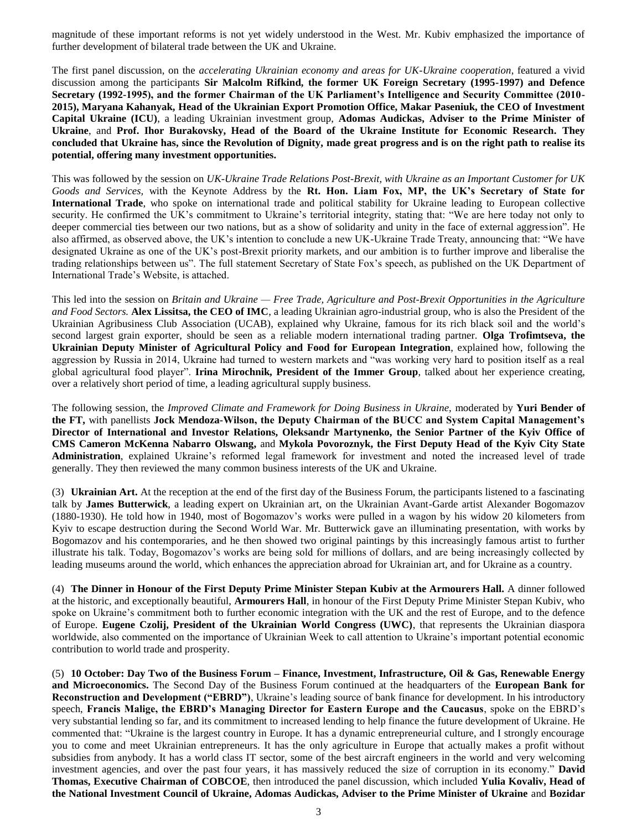magnitude of these important reforms is not yet widely understood in the West. Mr. Kubiv emphasized the importance of further development of bilateral trade between the UK and Ukraine.

The first panel discussion, on the *accelerating Ukrainian economy and areas for UK-Ukraine cooperation*, featured a vivid discussion among the participants **Sir Malcolm Rifkind, the former UK Foreign Secretary (1995-1997) and Defence Secretary (1992-1995), and the former Chairman of the UK Parliament's Intelligence and Security Committee (2010- 2015), Maryana Kahanyak, Head of the Ukrainian Export Promotion Office, Makar Paseniuk, the CEO of Investment Capital Ukraine (ICU)**, a leading Ukrainian investment group, **Adomas Audickas, Adviser to the Prime Minister of Ukraine**, and **Prof. Ihor Burakovsky, Head of the Board of the Ukraine Institute for Economic Research. They concluded that Ukraine has, since the Revolution of Dignity, made great progress and is on the right path to realise its potential, offering many investment opportunities.**

This was followed by the session on *UK-Ukraine Trade Relations Post-Brexit, with Ukraine as an Important Customer for UK Goods and Services,* with the Keynote Address by the **Rt. Hon. Liam Fox, MP, the UK's Secretary of State for International Trade**, who spoke on international trade and political stability for Ukraine leading to European collective security. He confirmed the UK's commitment to Ukraine's territorial integrity, stating that: "We are here today not only to deeper commercial ties between our two nations, but as a show of solidarity and unity in the face of external aggression". He also affirmed, as observed above, the UK's intention to conclude a new UK-Ukraine Trade Treaty, announcing that: "We have designated Ukraine as one of the UK's post-Brexit priority markets, and our ambition is to further improve and liberalise the trading relationships between us". The full statement Secretary of State Fox's speech, as published on the UK Department of International Trade's Website, is attached.

This led into the session on *Britain and Ukraine — Free Trade, Agriculture and Post-Brexit Opportunities in the Agriculture and Food Sectors.* **Alex Lissitsa, the CEO of IMC**, a leading Ukrainian agro-industrial group, who is also the President of the Ukrainian Agribusiness Club Association (UCAB), explained why Ukraine, famous for its rich black soil and the world's second largest grain exporter, should be seen as a reliable modern international trading partner. **Olga Trofimtseva, the Ukrainian Deputy Minister of Agricultural Policy and Food for European Integration**, explained how, following the aggression by Russia in 2014, Ukraine had turned to western markets and "was working very hard to position itself as a real global agricultural food player". **Irina Mirochnik, President of the Immer Group**, talked about her experience creating, over a relatively short period of time, a leading agricultural supply business.

The following session, the *Improved Climate and Framework for Doing Business in Ukraine,* moderated by **Yuri Bender of the FT,** with panellists **Jock Mendoza-Wilson, the Deputy Chairman of the BUCC and System Capital Management's Director of International and Investor Relations, Oleksandr Martynenko, the Senior Partner of the Kyiv Office of CMS Cameron McKenna Nabarro Olswang,** and **Mykola Povoroznyk, the First Deputy Head of the Kyiv City State Administration**, explained Ukraine's reformed legal framework for investment and noted the increased level of trade generally. They then reviewed the many common business interests of the UK and Ukraine.

(3) **Ukrainian Art.** At the reception at the end of the first day of the Business Forum, the participants listened to a fascinating talk by **James Butterwick**, a leading expert on Ukrainian art, on the Ukrainian Avant-Garde artist Alexander Bogomazov (1880-1930). He told how in 1940, most of Bogomazov's works were pulled in a wagon by his widow 20 kilometers from Kyiv to escape destruction during the Second World War. Mr. Butterwick gave an illuminating presentation, with works by Bogomazov and his contemporaries, and he then showed two original paintings by this increasingly famous artist to further illustrate his talk. Today, Bogomazov's works are being sold for millions of dollars, and are being increasingly collected by leading museums around the world, which enhances the appreciation abroad for Ukrainian art, and for Ukraine as a country.

(4) **The Dinner in Honour of the First Deputy Prime Minister Stepan Kubiv at the Armourers Hall.** A dinner followed at the historic, and exceptionally beautiful, **Armourers Hall**, in honour of the First Deputy Prime Minister Stepan Kubiv, who spoke on Ukraine's commitment both to further economic integration with the UK and the rest of Europe, and to the defence of Europe. **Eugene Czolij, President of the Ukrainian World Congress (UWC)**, that represents the Ukrainian diaspora worldwide, also commented on the importance of Ukrainian Week to call attention to Ukraine's important potential economic contribution to world trade and prosperity.

(5) **10 October: Day Two of the Business Forum – Finance, Investment, Infrastructure, Oil & Gas, Renewable Energy and Microeconomics.** The Second Day of the Business Forum continued at the headquarters of the **European Bank for Reconstruction and Development ("EBRD")**, Ukraine's leading source of bank finance for development. In his introductory speech, **Francis Malige, the EBRD's Managing Director for Eastern Europe and the Caucasus**, spoke on the EBRD's very substantial lending so far, and its commitment to increased lending to help finance the future development of Ukraine. He commented that: "Ukraine is the largest country in Europe. It has a dynamic entrepreneurial culture, and I strongly encourage you to come and meet Ukrainian entrepreneurs. It has the only agriculture in Europe that actually makes a profit without subsidies from anybody. It has a world class IT sector, some of the best aircraft engineers in the world and very welcoming investment agencies, and over the past four years, it has massively reduced the size of corruption in its economy." **David Thomas, Executive Chairman of COBCOE**, then introduced the panel discussion, which included **Yulia Kovaliv, Head of the National Investment Council of Ukraine, Adomas Audickas, Adviser to the Prime Minister of Ukraine** and **Bozidar**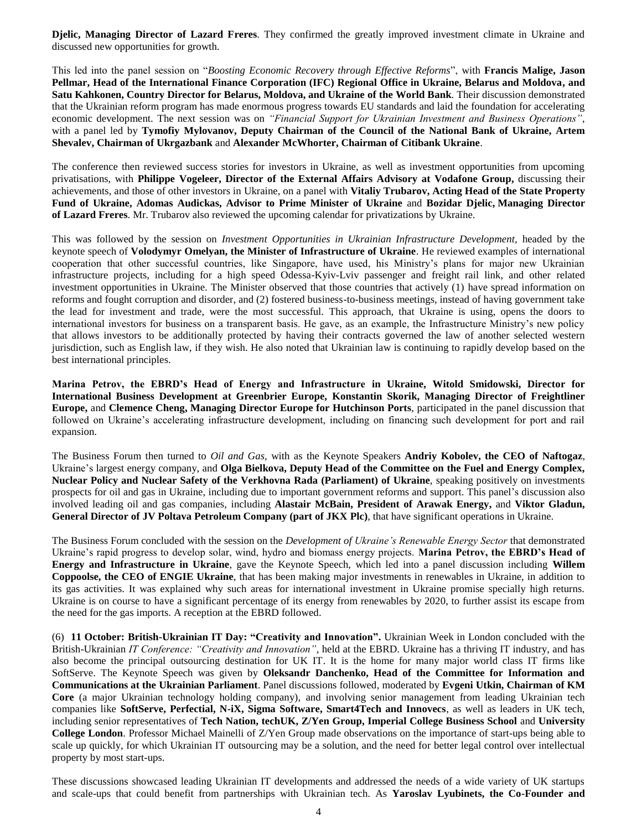**Djelic, Managing Director of Lazard Freres**. They confirmed the greatly improved investment climate in Ukraine and discussed new opportunities for growth.

This led into the panel session on "*Boosting Economic Recovery through Effective Reforms*", with **Francis Malige, Jason Pellmar, Head of the International Finance Corporation (IFC) Regional Office in Ukraine, Belarus and Moldova, and Satu Kahkonen, Country Director for Belarus, Moldova, and Ukraine of the World Bank**. Their discussion demonstrated that the Ukrainian reform program has made enormous progress towards EU standards and laid the foundation for accelerating economic development. The next session was on *"Financial Support for Ukrainian Investment and Business Operations"*, with a panel led by **Tymofiy Mylovanov, Deputy Chairman of the Council of the National Bank of Ukraine, Artem Shevalev, Chairman of Ukrgazbank** and **Alexander McWhorter, Chairman of Citibank Ukraine**.

The conference then reviewed success stories for investors in Ukraine, as well as investment opportunities from upcoming privatisations, with **Philippe Vogeleer, Director of the External Affairs Advisory at Vodafone Group,** discussing their achievements, and those of other investors in Ukraine, on a panel with **Vitaliy Trubarov, Acting Head of the State Property Fund of Ukraine, Adomas Audickas, Advisor to Prime Minister of Ukraine** and **Bozidar Djelic, Managing Director of Lazard Freres**. Mr. Trubarov also reviewed the upcoming calendar for privatizations by Ukraine.

This was followed by the session on *Investment Opportunities in Ukrainian Infrastructure Development*, headed by the keynote speech of **Volodymyr Omelyan, the Minister of Infrastructure of Ukraine**. He reviewed examples of international cooperation that other successful countries, like Singapore, have used, his Ministry's plans for major new Ukrainian infrastructure projects, including for a high speed Odessa-Kyiv-Lviv passenger and freight rail link, and other related investment opportunities in Ukraine. The Minister observed that those countries that actively (1) have spread information on reforms and fought corruption and disorder, and (2) fostered business-to-business meetings, instead of having government take the lead for investment and trade, were the most successful. This approach, that Ukraine is using, opens the doors to international investors for business on a transparent basis. He gave, as an example, the Infrastructure Ministry's new policy that allows investors to be additionally protected by having their contracts governed the law of another selected western jurisdiction, such as English law, if they wish. He also noted that Ukrainian law is continuing to rapidly develop based on the best international principles.

**Marina Petrov, the EBRD's Head of Energy and Infrastructure in Ukraine, Witold Smidowski, Director for International Business Development at Greenbrier Europe, Konstantin Skorik, Managing Director of Freightliner Europe,** and **Clemence Cheng, Managing Director Europe for Hutchinson Ports**, participated in the panel discussion that followed on Ukraine's accelerating infrastructure development, including on financing such development for port and rail expansion.

The Business Forum then turned to *Oil and Gas,* with as the Keynote Speakers **Andriy Kobolev, the CEO of Naftogaz**, Ukraine's largest energy company, and **Olga Bielkova, Deputy Head of the Committee on the Fuel and Energy Complex, Nuclear Policy and Nuclear Safety of the Verkhovna Rada (Parliament) of Ukraine**, speaking positively on investments prospects for oil and gas in Ukraine, including due to important government reforms and support. This panel's discussion also involved leading oil and gas companies, including **Alastair McBain, President of Arawak Energy,** and **Viktor Gladun, General Director of JV Poltava Petroleum Company (part of JKX Plc)**, that have significant operations in Ukraine.

The Business Forum concluded with the session on the *Development of Ukraine's Renewable Energy Sector* that demonstrated Ukraine's rapid progress to develop solar, wind, hydro and biomass energy projects. **Marina Petrov, the EBRD's Head of Energy and Infrastructure in Ukraine**, gave the Keynote Speech, which led into a panel discussion including **Willem Coppoolse, the CEO of ENGIE Ukraine**, that has been making major investments in renewables in Ukraine, in addition to its gas activities. It was explained why such areas for international investment in Ukraine promise specially high returns. Ukraine is on course to have a significant percentage of its energy from renewables by 2020, to further assist its escape from the need for the gas imports. A reception at the EBRD followed.

(6) **11 October: British-Ukrainian IT Day: "Creativity and Innovation".** Ukrainian Week in London concluded with the British-Ukrainian *IT Conference: "Creativity and Innovation"*, held at the EBRD. Ukraine has a thriving IT industry, and has also become the principal outsourcing destination for UK IT. It is the home for many major world class IT firms like SoftServe. The Keynote Speech was given by **Oleksandr Danchenko, Head of the Committee for Information and Communications at the Ukrainian Parliament**. Panel discussions followed, moderated by **Evgeni Utkin, Chairman of KM Core** (a major Ukrainian technology holding company), and involving senior management from leading Ukrainian tech companies like **SoftServe, Perfectial, N-iX, Sigma Software, Smart4Tech and Innovecs**, as well as leaders in UK tech, including senior representatives of **Tech Nation, techUK, Z/Yen Group, Imperial College Business School** and **University College London**. Professor Michael Mainelli of Z/Yen Group made observations on the importance of start-ups being able to scale up quickly, for which Ukrainian IT outsourcing may be a solution, and the need for better legal control over intellectual property by most start-ups.

These discussions showcased leading Ukrainian IT developments and addressed the needs of a wide variety of UK startups and scale-ups that could benefit from partnerships with Ukrainian tech. As **Yaroslav Lyubinets, the Co-Founder and**